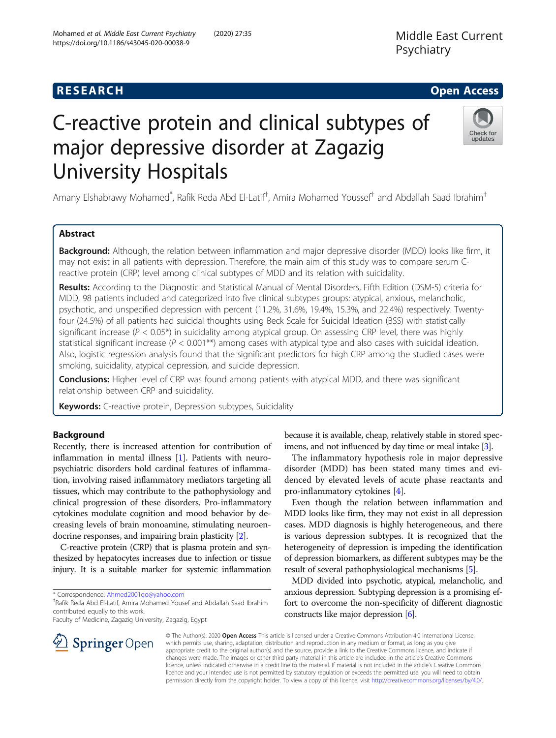# **RESEARCH CHE Open Access**

Check for updates

# C-reactive protein and clinical subtypes of major depressive disorder at Zagazig University Hospitals

Amany Elshabrawy Mohamed<sup>\*</sup>, Rafik Reda Abd El-Latif<sup>†</sup>, Amira Mohamed Youssef<sup>†</sup> and Abdallah Saad Ibrahim<sup>†</sup>

# Abstract

Background: Although, the relation between inflammation and major depressive disorder (MDD) looks like firm, it may not exist in all patients with depression. Therefore, the main aim of this study was to compare serum Creactive protein (CRP) level among clinical subtypes of MDD and its relation with suicidality.

Results: According to the Diagnostic and Statistical Manual of Mental Disorders, Fifth Edition (DSM-5) criteria for MDD, 98 patients included and categorized into five clinical subtypes groups: atypical, anxious, melancholic, psychotic, and unspecified depression with percent (11.2%, 31.6%, 19.4%, 15.3%, and 22.4%) respectively. Twentyfour (24.5%) of all patients had suicidal thoughts using Beck Scale for Suicidal Ideation (BSS) with statistically significant increase ( $P < 0.05^*$ ) in suicidality among atypical group. On assessing CRP level, there was highly statistical significant increase ( $P < 0.001**$ ) among cases with atypical type and also cases with suicidal ideation. Also, logistic regression analysis found that the significant predictors for high CRP among the studied cases were smoking, suicidality, atypical depression, and suicide depression.

**Conclusions:** Higher level of CRP was found among patients with atypical MDD, and there was significant relationship between CRP and suicidality.

Keywords: C-reactive protein, Depression subtypes, Suicidality

## Background

Recently, there is increased attention for contribution of inflammation in mental illness [\[1\]](#page-5-0). Patients with neuropsychiatric disorders hold cardinal features of inflammation, involving raised inflammatory mediators targeting all tissues, which may contribute to the pathophysiology and clinical progression of these disorders. Pro-inflammatory cytokines modulate cognition and mood behavior by decreasing levels of brain monoamine, stimulating neuroendocrine responses, and impairing brain plasticity [[2\]](#page-5-0).

C-reactive protein (CRP) that is plasma protein and synthesized by hepatocytes increases due to infection or tissue injury. It is a suitable marker for systemic inflammation

\* Correspondence: [Ahmed2001go@yahoo.com](mailto:Ahmed2001go@yahoo.com) †

Rafik Reda Abd El-Latif, Amira Mohamed Yousef and Abdallah Saad Ibrahim contributed equally to this work.

Faculty of Medicine, Zagazig University, Zagazig, Egypt

because it is available, cheap, relatively stable in stored specimens, and not influenced by day time or meal intake [[3\]](#page-5-0).

The inflammatory hypothesis role in major depressive disorder (MDD) has been stated many times and evidenced by elevated levels of acute phase reactants and pro-inflammatory cytokines [\[4](#page-5-0)].

Even though the relation between inflammation and MDD looks like firm, they may not exist in all depression cases. MDD diagnosis is highly heterogeneous, and there is various depression subtypes. It is recognized that the heterogeneity of depression is impeding the identification of depression biomarkers, as different subtypes may be the result of several pathophysiological mechanisms [\[5\]](#page-5-0).

MDD divided into psychotic, atypical, melancholic, and anxious depression. Subtyping depression is a promising effort to overcome the non-specificity of different diagnostic constructs like major depression [\[6\]](#page-5-0).

licence and your intended use is not permitted by statutory regulation or exceeds the permitted use, you will need to obtain permission directly from the copyright holder. To view a copy of this licence, visit <http://creativecommons.org/licenses/by/4.0/>.

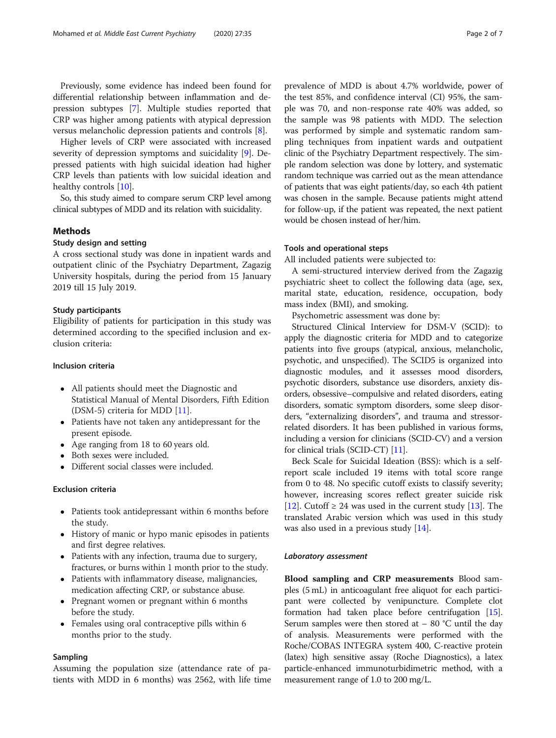Previously, some evidence has indeed been found for differential relationship between inflammation and depression subtypes [\[7](#page-5-0)]. Multiple studies reported that CRP was higher among patients with atypical depression versus melancholic depression patients and controls [\[8](#page-5-0)].

Higher levels of CRP were associated with increased severity of depression symptoms and suicidality [[9\]](#page-5-0). Depressed patients with high suicidal ideation had higher CRP levels than patients with low suicidal ideation and healthy controls [[10](#page-5-0)].

So, this study aimed to compare serum CRP level among clinical subtypes of MDD and its relation with suicidality.

#### Methods

#### Study design and setting

A cross sectional study was done in inpatient wards and outpatient clinic of the Psychiatry Department, Zagazig University hospitals, during the period from 15 January 2019 till 15 July 2019.

#### Study participants

Eligibility of patients for participation in this study was determined according to the specified inclusion and exclusion criteria:

#### Inclusion criteria

- All patients should meet the Diagnostic and Statistical Manual of Mental Disorders, Fifth Edition (DSM-5) criteria for MDD [\[11](#page-5-0)].
- Patients have not taken any antidepressant for the present episode.
- Age ranging from 18 to 60 years old.
- Both sexes were included.
- Different social classes were included.

#### Exclusion criteria

- Patients took antidepressant within 6 months before the study.
- History of manic or hypo manic episodes in patients and first degree relatives.
- Patients with any infection, trauma due to surgery, fractures, or burns within 1 month prior to the study.
- Patients with inflammatory disease, malignancies, medication affecting CRP, or substance abuse.
- Pregnant women or pregnant within 6 months before the study.
- Females using oral contraceptive pills within 6 months prior to the study.

#### Sampling

Assuming the population size (attendance rate of patients with MDD in 6 months) was 2562, with life time

prevalence of MDD is about 4.7% worldwide, power of the test 85%, and confidence interval (CI) 95%, the sample was 70, and non-response rate 40% was added, so the sample was 98 patients with MDD. The selection was performed by simple and systematic random sampling techniques from inpatient wards and outpatient clinic of the Psychiatry Department respectively. The simple random selection was done by lottery, and systematic random technique was carried out as the mean attendance of patients that was eight patients/day, so each 4th patient was chosen in the sample. Because patients might attend for follow-up, if the patient was repeated, the next patient would be chosen instead of her/him.

#### Tools and operational steps

All included patients were subjected to:

A semi-structured interview derived from the Zagazig psychiatric sheet to collect the following data (age, sex, marital state, education, residence, occupation, body mass index (BMI), and smoking.

Psychometric assessment was done by:

Structured Clinical Interview for DSM-V (SCID): to apply the diagnostic criteria for MDD and to categorize patients into five groups (atypical, anxious, melancholic, psychotic, and unspecified). The SCID5 is organized into diagnostic modules, and it assesses mood disorders, psychotic disorders, substance use disorders, anxiety disorders, obsessive–compulsive and related disorders, eating disorders, somatic symptom disorders, some sleep disorders, "externalizing disorders", and trauma and stressorrelated disorders. It has been published in various forms, including a version for clinicians (SCID-CV) and a version for clinical trials (SCID-CT) [[11\]](#page-5-0).

Beck Scale for Suicidal Ideation (BSS): which is a selfreport scale included 19 items with total score range from 0 to 48. No specific cutoff exists to classify severity; however, increasing scores reflect greater suicide risk [[12\]](#page-5-0). Cutoff  $\geq 24$  was used in the current study [\[13\]](#page-5-0). The translated Arabic version which was used in this study was also used in a previous study [[14\]](#page-5-0).

#### Laboratory assessment

Blood sampling and CRP measurements Blood samples (5 mL) in anticoagulant free aliquot for each participant were collected by venipuncture. Complete clot formation had taken place before centrifugation [[15](#page-5-0)]. Serum samples were then stored at  $-80$  °C until the day of analysis. Measurements were performed with the Roche/COBAS INTEGRA system 400, C-reactive protein (latex) high sensitive assay (Roche Diagnostics), a latex particle-enhanced immunoturbidimetric method, with a measurement range of 1.0 to 200 mg/L.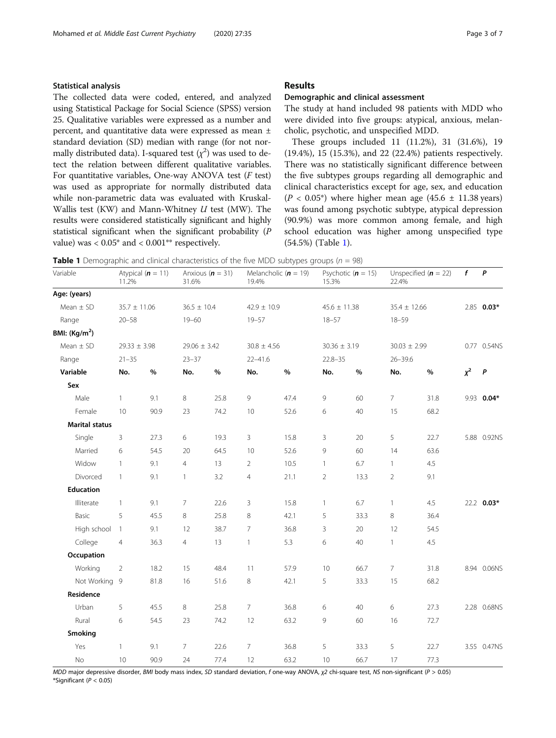#### Statistical analysis

11.2%

The collected data were coded, entered, and analyzed using Statistical Package for Social Science (SPSS) version 25. Qualitative variables were expressed as a number and percent, and quantitative data were expressed as mean ± standard deviation (SD) median with range (for not normally distributed data). I-squared test  $(\chi^2)$  was used to detect the relation between different qualitative variables. For quantitative variables, One-way ANOVA test  $(F \text{ test})$ was used as appropriate for normally distributed data while non-parametric data was evaluated with Kruskal-Wallis test (KW) and Mann-Whitney  $U$  test (MW). The results were considered statistically significant and highly statistical significant when the significant probability (P value) was  $< 0.05^*$  and  $< 0.001^{**}$  respectively.

#### Results

#### Demographic and clinical assessment

Psychotic  $(n = 15)$ 

15.3%

The study at hand included 98 patients with MDD who were divided into five groups: atypical, anxious, melancholic, psychotic, and unspecified MDD.

These groups included 11 (11.2%), 31 (31.6%), 19 (19.4%), 15 (15.3%), and 22 (22.4%) patients respectively. There was no statistically significant difference between the five subtypes groups regarding all demographic and clinical characteristics except for age, sex, and education  $(P < 0.05^*)$  where higher mean age  $(45.6 \pm 11.38 \text{ years})$ was found among psychotic subtype, atypical depression (90.9%) was more common among female, and high school education was higher among unspecified type (54.5%) (Table 1).

22.4%

Unspecified  $(n = 22)$ 

f P

|          | <b>Table 1</b> Demographic and clinical characteristics of the five MDD subtypes groups ( $n = 98$ ) |                                                                                            |  |
|----------|------------------------------------------------------------------------------------------------------|--------------------------------------------------------------------------------------------|--|
| Variable |                                                                                                      | Atypical ( $n = 11$ ) Anxious ( $n = 31$ ) Melancholic ( $n = 19$ ) Psychotic ( $n = 19$ ) |  |

31.6%

Age: (years) Mean  $\pm$  SD 35.7  $\pm$  11.06 36.5  $\pm$  10.4 42.9  $\pm$  10.9 45.6  $\pm$  11.38 35.4  $\pm$  12.66 2.85 0.03\* Range 20–58 19–60 19–57 18–57 18–59 BMI:  $(Kg/m<sup>2</sup>)$ Mean  $\pm$  SD 29.33  $\pm$  3.98 29.06  $\pm$  3.42 30.8  $\pm$  4.56 30.36  $\pm$  3.19 30.03  $\pm$  2.99 0.77 0.54NS Range 21–35 23–37 22–41.6 22.8–35 26–39.6 Variable No. % No. % No. % No. % No. %  $\chi^2$   $P$ Sex Male 1 9.1 8 25.8 9 47.4 9 60 7 31.8 9.93 **0.04**\* Female 10 90.9 23 74.2 10 52.6 6 40 15 68.2 Marital status Single 3 27.3 6 19.3 3 15.8 3 20 5 22.7 5.88 0.92NS Married 6 54.5 20 64.5 10 52.6 9 60 14 63.6 Widow 1 9.1 4 13 2 10.5 1 6.7 1 4.5 Divorced 1 9.1 1 3.2 4 21.1 2 13.3 2 9.1 Education Illiterate 1 9.1 7 22.6 3 15.8 1 6.7 1 4.5 22.2 0.03<sup>\*</sup> Basic 5 45.5 8 25.8 8 42.1 5 33.3 8 36.4 High school 1 9.1 12 38.7 7 36.8 3 20 12 54.5 College 4 36.3 4 13 1 5.3 6 40 1 4.5 **Occupation** Working 2 18.2 15 48.4 11 57.9 10 66.7 7 31.8 8.94 0.06NS Not Working 9 81.8 16 51.6 8 42.1 5 33.3 15 68.2 Residence Urban 5 45.5 8 25.8 7 36.8 6 40 6 27.3 2.28 0.68NS Rural 6 54.5 23 74.2 12 63.2 9 60 16 72.7 Smoking Yes 1 9.1 7 22.6 7 36.8 5 33.3 5 22.7 3.55 0.47NS No 10 90.9 24 77.4 12 63.2 10 66.7 17 77.3

19.4%

MDD major depressive disorder, BMI body mass index, SD standard deviation, f one-way ANOVA, χ2 chi-square test, NS non-significant (P > 0.05) \*Significant (P < 0.05)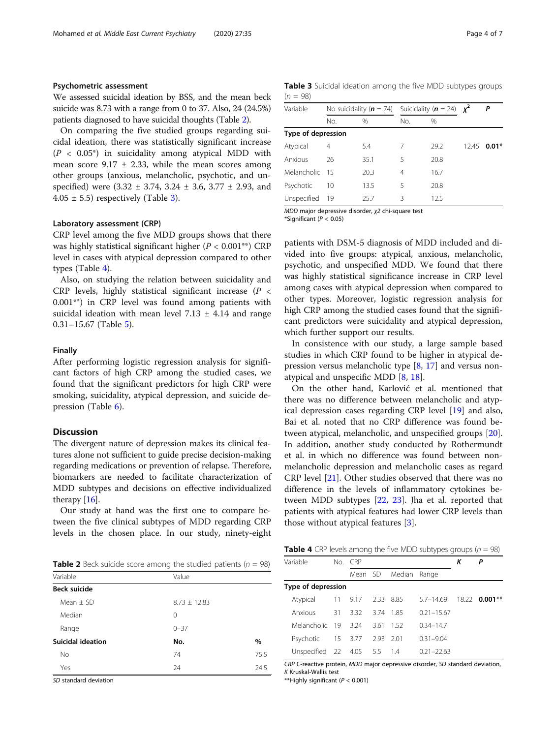#### Psychometric assessment

We assessed suicidal ideation by BSS, and the mean beck suicide was 8.73 with a range from 0 to 37. Also, 24 (24.5%) patients diagnosed to have suicidal thoughts (Table 2).

On comparing the five studied groups regarding suicidal ideation, there was statistically significant increase  $(P < 0.05^*)$  in suicidality among atypical MDD with mean score  $9.17 \pm 2.33$ , while the mean scores among other groups (anxious, melancholic, psychotic, and unspecified) were  $(3.32 \pm 3.74, 3.24 \pm 3.6, 3.77 \pm 2.93,$  and  $4.05 \pm 5.5$ ) respectively (Table 3).

#### Laboratory assessment (CRP)

CRP level among the five MDD groups shows that there was highly statistical significant higher ( $P < 0.001**$ ) CRP level in cases with atypical depression compared to other types (Table 4).

Also, on studying the relation between suicidality and CRP levels, highly statistical significant increase  $(P \leq$ 0.001\*\*) in CRP level was found among patients with suicidal ideation with mean level  $7.13 \pm 4.14$  and range 0.31–15.67 (Table [5](#page-4-0)).

#### Finally

After performing logistic regression analysis for significant factors of high CRP among the studied cases, we found that the significant predictors for high CRP were smoking, suicidality, atypical depression, and suicide depression (Table [6\)](#page-4-0).

#### **Discussion**

The divergent nature of depression makes its clinical features alone not sufficient to guide precise decision-making regarding medications or prevention of relapse. Therefore, biomarkers are needed to facilitate characterization of MDD subtypes and decisions on effective individualized therapy  $[16]$ .

Our study at hand was the first one to compare between the five clinical subtypes of MDD regarding CRP levels in the chosen place. In our study, ninety-eight

**Table 2** Beck suicide score among the studied patients ( $n = 98$ )

| $8.73 \pm 12.83$ |
|------------------|
|                  |
|                  |
| %                |
| 75.5             |
| 24.5             |
|                  |

SD standard deviation

Table 3 Suicidal ideation among the five MDD subtypes groups  $(n = 98)$ 

| Variable           |     | No suicidality ( $n = 74$ ) Suicidality ( $n = 24$ ) $\chi^2$ |     |      |       | Ρ       |
|--------------------|-----|---------------------------------------------------------------|-----|------|-------|---------|
|                    | No. | $\%$                                                          | No. | $\%$ |       |         |
| Type of depression |     |                                                               |     |      |       |         |
| Atypical           | 4   | 5.4                                                           |     | 29.2 | 12.45 | $0.01*$ |
| Anxious            | 26  | 35.1                                                          | 5   | 20.8 |       |         |
| Melancholic 15     |     | 20.3                                                          | 4   | 16.7 |       |         |
| Psychotic          | 10  | 13.5                                                          | 5   | 20.8 |       |         |
| Unspecified 19     |     | 25.7                                                          | 3   | 12.5 |       |         |

MDD major depressive disorder, χ2 chi-square test

\*Significant ( $P < 0.05$ )

patients with DSM-5 diagnosis of MDD included and divided into five groups: atypical, anxious, melancholic, psychotic, and unspecified MDD. We found that there was highly statistical significance increase in CRP level among cases with atypical depression when compared to other types. Moreover, logistic regression analysis for high CRP among the studied cases found that the significant predictors were suicidality and atypical depression, which further support our results.

In consistence with our study, a large sample based studies in which CRP found to be higher in atypical depression versus melancholic type [\[8](#page-5-0), [17](#page-5-0)] and versus nonatypical and unspecific MDD [\[8](#page-5-0), [18\]](#page-5-0).

On the other hand, Karlović et al. mentioned that there was no difference between melancholic and atypical depression cases regarding CRP level [[19\]](#page-5-0) and also, Bai et al. noted that no CRP difference was found between atypical, melancholic, and unspecified groups [\[20](#page-5-0)]. In addition, another study conducted by Rothermundt et al. in which no difference was found between nonmelancholic depression and melancholic cases as regard CRP level [[21](#page-6-0)]. Other studies observed that there was no difference in the levels of inflammatory cytokines between MDD subtypes [\[22,](#page-6-0) [23](#page-6-0)]. Jha et al. reported that patients with atypical features had lower CRP levels than those without atypical features [\[3\]](#page-5-0).

| <b>Table 4</b> CRP levels among the five MDD subtypes groups ( $n = 98$ ) |  |  |
|---------------------------------------------------------------------------|--|--|
|---------------------------------------------------------------------------|--|--|

| Variable            |  | No. CRP           |           |                      | κ              | P |                      |
|---------------------|--|-------------------|-----------|----------------------|----------------|---|----------------------|
|                     |  |                   |           | Mean SD Median Range |                |   |                      |
| Type of depression  |  |                   |           |                      |                |   |                      |
| Atypical            |  | 11 9.17 2.33 8.85 |           |                      | 5.7–14.69      |   | $1822 \quad 0.001**$ |
| Anxious             |  | 31 3.32           | 374 185   |                      | $0.21 - 15.67$ |   |                      |
| Melancholic 19      |  | 3.24              | 3.61      | - 152                | $0.34 - 14.7$  |   |                      |
| Psychotic           |  | 15 3.77           | 2.93 2.01 |                      | $0.31 - 9.04$  |   |                      |
| Unspecified 22 4.05 |  |                   | 5.5 1.4   |                      | $0.21 - 22.63$ |   |                      |

CRP C-reactive protein, MDD major depressive disorder, SD standard deviation, K Kruskal-Wallis test

\*\*Highly significant (P < 0.001)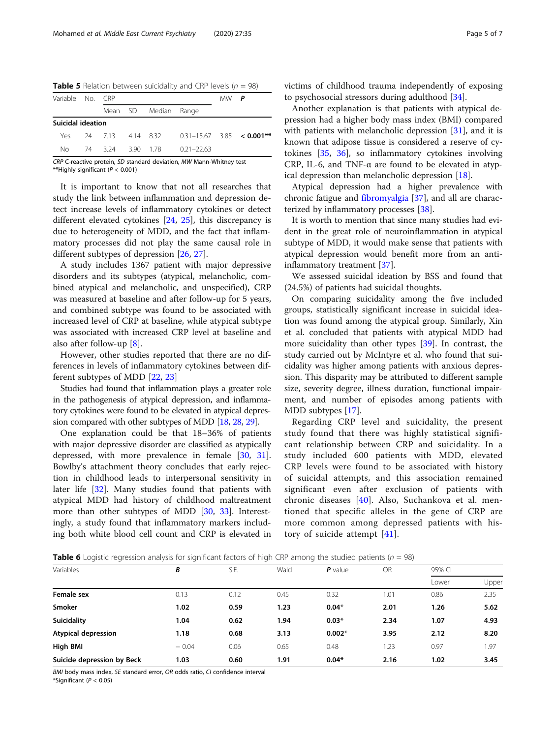<span id="page-4-0"></span>**Table 5** Relation between suicidality and CRP levels ( $n = 98$ )

| Variable No. CRP  |  |                    |  | $MW$ $P$             |                                           |  |  |  |
|-------------------|--|--------------------|--|----------------------|-------------------------------------------|--|--|--|
|                   |  |                    |  | Mean SD Median Range |                                           |  |  |  |
| Suicidal ideation |  |                    |  |                      |                                           |  |  |  |
|                   |  |                    |  | Yes 24 713 414 832   | $0.31 - 15.67$ 3.85 < 0.001 <sup>**</sup> |  |  |  |
|                   |  | No. 74 324 390 178 |  |                      | $0.21 - 22.63$                            |  |  |  |

CRP C-reactive protein, SD standard deviation, MW Mann-Whitney test \*\*Highly significant ( $P < 0.001$ )

It is important to know that not all researches that study the link between inflammation and depression detect increase levels of inflammatory cytokines or detect different elevated cytokines [[24,](#page-6-0) [25\]](#page-6-0), this discrepancy is due to heterogeneity of MDD, and the fact that inflammatory processes did not play the same causal role in different subtypes of depression [[26,](#page-6-0) [27\]](#page-6-0).

A study includes 1367 patient with major depressive disorders and its subtypes (atypical, melancholic, combined atypical and melancholic, and unspecified), CRP was measured at baseline and after follow-up for 5 years, and combined subtype was found to be associated with increased level of CRP at baseline, while atypical subtype was associated with increased CRP level at baseline and also after follow-up [\[8](#page-5-0)].

However, other studies reported that there are no differences in levels of inflammatory cytokines between different subtypes of MDD [\[22,](#page-6-0) [23\]](#page-6-0)

Studies had found that inflammation plays a greater role in the pathogenesis of atypical depression, and inflammatory cytokines were found to be elevated in atypical depression compared with other subtypes of MDD [\[18,](#page-5-0) [28,](#page-6-0) [29\]](#page-6-0).

One explanation could be that 18–36% of patients with major depressive disorder are classified as atypically depressed, with more prevalence in female [\[30,](#page-6-0) [31](#page-6-0)]. Bowlby's attachment theory concludes that early rejection in childhood leads to interpersonal sensitivity in later life [\[32](#page-6-0)]. Many studies found that patients with atypical MDD had history of childhood maltreatment more than other subtypes of MDD [\[30](#page-6-0), [33](#page-6-0)]. Interestingly, a study found that inflammatory markers including both white blood cell count and CRP is elevated in victims of childhood trauma independently of exposing to psychosocial stressors during adulthood [\[34](#page-6-0)].

Another explanation is that patients with atypical depression had a higher body mass index (BMI) compared with patients with melancholic depression [[31\]](#page-6-0), and it is known that adipose tissue is considered a reserve of cytokines [\[35,](#page-6-0) [36\]](#page-6-0), so inflammatory cytokines involving CRP, IL-6, and TNF- $\alpha$  are found to be elevated in atypical depression than melancholic depression [\[18](#page-5-0)].

Atypical depression had a higher prevalence with chronic fatigue and [fibromyalgia](https://www.sciencedirect.com/topics/neuroscience/fibromyalgia) [[37\]](#page-6-0), and all are characterized by inflammatory processes [\[38](#page-6-0)].

It is worth to mention that since many studies had evident in the great role of neuroinflammation in atypical subtype of MDD, it would make sense that patients with atypical depression would benefit more from an antiinflammatory treatment [[37\]](#page-6-0).

We assessed suicidal ideation by BSS and found that (24.5%) of patients had suicidal thoughts.

On comparing suicidality among the five included groups, statistically significant increase in suicidal ideation was found among the atypical group. Similarly, Xin et al. concluded that patients with atypical MDD had more suicidality than other types [\[39](#page-6-0)]. In contrast, the study carried out by McIntyre et al. who found that suicidality was higher among patients with anxious depression. This disparity may be attributed to different sample size, severity degree, illness duration, functional impairment, and number of episodes among patients with MDD subtypes [\[17](#page-5-0)].

Regarding CRP level and suicidality, the present study found that there was highly statistical significant relationship between CRP and suicidality. In a study included 600 patients with MDD, elevated CRP levels were found to be associated with history of suicidal attempts, and this association remained significant even after exclusion of patients with chronic diseases [[40\]](#page-6-0). Also, Suchankova et al. mentioned that specific alleles in the gene of CRP are more common among depressed patients with history of suicide attempt [[41](#page-6-0)].

**Table 6** Logistic regression analysis for significant factors of high CRP among the studied patients ( $n = 98$ )

| $\tilde{}$<br>$\tilde{\phantom{a}}$ | $\tilde{}$ |      | $\tilde{}$ | $\tilde{\phantom{a}}$ |      |        |       |  |
|-------------------------------------|------------|------|------------|-----------------------|------|--------|-------|--|
| Variables                           | В          | S.E. | Wald       | $P$ value             | OR   | 95% CI |       |  |
|                                     |            |      |            |                       |      | Lower  | Upper |  |
| Female sex                          | 0.13       | 0.12 | 0.45       | 0.32                  | 1.01 | 0.86   | 2.35  |  |
| <b>Smoker</b>                       | 1.02       | 0.59 | 1.23       | $0.04*$               | 2.01 | 1.26   | 5.62  |  |
| <b>Suicidality</b>                  | 1.04       | 0.62 | 1.94       | $0.03*$               | 2.34 | 1.07   | 4.93  |  |
| <b>Atypical depression</b>          | 1.18       | 0.68 | 3.13       | $0.002*$              | 3.95 | 2.12   | 8.20  |  |
| High BMI                            | $-0.04$    | 0.06 | 0.65       | 0.48                  | 1.23 | 0.97   | 1.97  |  |
| Suicide depression by Beck          | 1.03       | 0.60 | 1.91       | $0.04*$               | 2.16 | 1.02   | 3.45  |  |

BMI body mass index, SE standard error, OR odds ratio, CI confidence interval

\*Significant (P < 0.05)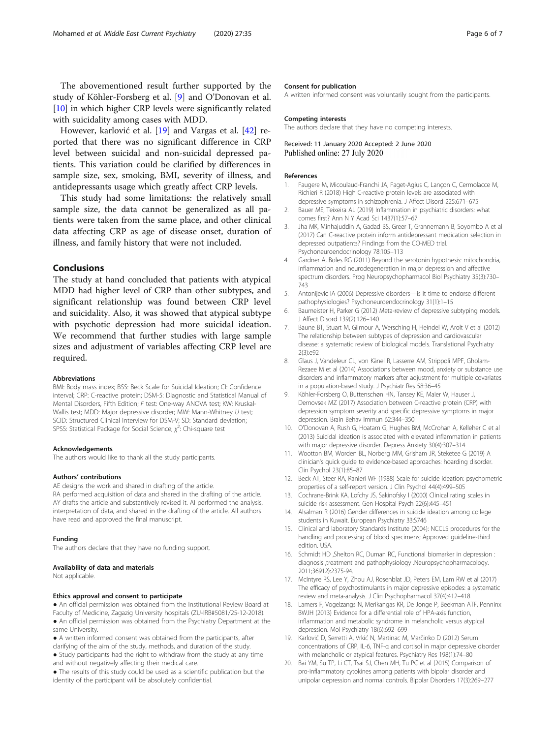<span id="page-5-0"></span>The abovementioned result further supported by the study of Köhler-Forsberg et al. [9] and O'Donovan et al. [10] in which higher CRP levels were significantly related with suicidality among cases with MDD.

However, karlović et al. [19] and Vargas et al. [\[42](#page-6-0)] reported that there was no significant difference in CRP level between suicidal and non-suicidal depressed patients. This variation could be clarified by differences in sample size, sex, smoking, BMI, severity of illness, and antidepressants usage which greatly affect CRP levels.

This study had some limitations: the relatively small sample size, the data cannot be generalized as all patients were taken from the same place, and other clinical data affecting CRP as age of disease onset, duration of illness, and family history that were not included.

#### Conclusions

The study at hand concluded that patients with atypical MDD had higher level of CRP than other subtypes, and significant relationship was found between CRP level and suicidality. Also, it was showed that atypical subtype with psychotic depression had more suicidal ideation. We recommend that further studies with large sample sizes and adjustment of variables affecting CRP level are required.

#### Abbreviations

BMI: Body mass index; BSS: Beck Scale for Suicidal Ideation; CI: Confidence interval; CRP: C-reactive protein; DSM-5: Diagnostic and Statistical Manual of Mental Disorders, Fifth Edition; F test: One-way ANOVA test; KW: Kruskal-Wallis test; MDD: Major depressive disorder; MW: Mann-Whitney U test; SCID: Structured Clinical Interview for DSM-V; SD: Standard deviation; SPSS: Statistical Package for Social Science;  $\chi^2$ : Chi-square test

#### Acknowledgements

The authors would like to thank all the study participants.

#### Authors' contributions

AE designs the work and shared in drafting of the article.

RA performed acquisition of data and shared in the drafting of the article. AY drafts the article and substantively revised it. AI performed the analysis, interpretation of data, and shared in the drafting of the article. All authors have read and approved the final manuscript.

#### Funding

The authors declare that they have no funding support.

#### Availability of data and materials

Not applicable.

#### Ethics approval and consent to participate

- An official permission was obtained from the Institutional Review Board at Faculty of Medicine, Zagazig University hospitals (ZU-IRB#5081/25-12-2018).
- An official permission was obtained from the Psychiatry Department at the same University.
- A written informed consent was obtained from the participants, after
- clarifying of the aim of the study, methods, and duration of the study. ● Study participants had the right to withdraw from the study at any time
- and without negatively affecting their medical care. ● The results of this study could be used as a scientific publication but the identity of the participant will be absolutely confidential.

#### Consent for publication

A written informed consent was voluntarily sought from the participants.

#### Competing interests

The authors declare that they have no competing interests.

#### Received: 11 January 2020 Accepted: 2 June 2020 Published online: 27 July 2020

#### References

- 1. Faugere M, Micoulaud-Franchi JA, Faget-Agius C, Lançon C, Cermolacce M, Richieri R (2018) High C-reactive protein levels are associated with depressive symptoms in schizophrenia. J Affect Disord 225:671–675
- 2. Bauer ME, Teixeira AL (2019) Inflammation in psychiatric disorders: what comes first? Ann N Y Acad Sci 1437(1):57–67
- 3. Jha MK, Minhajuddin A, Gadad BS, Greer T, Grannemann B, Soyombo A et al (2017) Can C-reactive protein inform antidepressant medication selection in depressed outpatients? Findings from the CO-MED trial. Psychoneuroendocrinology 78:105–113
- 4. Gardner A, Boles RG (2011) Beyond the serotonin hypothesis: mitochondria, inflammation and neurodegeneration in major depression and affective spectrum disorders. Prog Neuropsychopharmacol Biol Psychiatry 35(3):730– 743
- 5. Antonijevic IA (2006) Depressive disorders—is it time to endorse different pathophysiologies? Psychoneuroendocrinology 31(1):1–15
- 6. Baumeister H, Parker G (2012) Meta-review of depressive subtyping models. J Affect Disord 139(2):126–140
- 7. Baune BT, Stuart M, Gilmour A, Wersching H, Heindel W, Arolt V et al (2012) The relationship between subtypes of depression and cardiovascular disease: a systematic review of biological models. Translational Psychiatry 2(3):e92
- 8. Glaus J, Vandeleur CL, von Känel R, Lasserre AM, Strippoli MPF, Gholam-Rezaee M et al (2014) Associations between mood, anxiety or substance use disorders and inflammatory markers after adjustment for multiple covariates in a population-based study. J Psychiatr Res 58:36–45
- 9. Köhler-Forsberg O, Buttenschøn HN, Tansey KE, Maier W, Hauser J, Dernovsek MZ (2017) Association between C-reactive protein (CRP) with depression symptom severity and specific depressive symptoms in major depression. Brain Behav Immun 62:344–350
- 10. O'Donovan A, Rush G, Hoatam G, Hughes BM, McCrohan A, Kelleher C et al (2013) Suicidal ideation is associated with elevated inflammation in patients with major depressive disorder. Depress Anxiety 30(4):307–314
- 11. Wootton BM, Worden BL, Norberg MM, Grisham JR, Steketee G (2019) A clinician's quick guide to evidence-based approaches: hoarding disorder. Clin Psychol 23(1):85–87
- 12. Beck AT, Steer RA, Ranieri WF (1988) Scale for suicide ideation: psychometric properties of a self-report version. J Clin Psychol 44(4):499–505
- 13. Cochrane-Brink KA, Lofchy JS, Sakinofsky I (2000) Clinical rating scales in suicide risk assessment. Gen Hospital Psych 22(6):445–451
- 14. Alsalman R (2016) Gender differences in suicide ideation among college students in Kuwait. European Psychiatry 33:S746
- 15. Clinical and laboratory Standards Institute (2004): NCCLS procedures for the handling and processing of blood specimens; Approved guideline-third edition. USA.
- 16. Schmidt HD ,Shelton RC, Duman RC, Functional biomarker in depression : diagnosis ,treatment and pathophysiology .Neuropsychopharmacology. 2011;36912):2375-94.
- 17. McIntyre RS, Lee Y, Zhou AJ, Rosenblat JD, Peters EM, Lam RW et al (2017) The efficacy of psychostimulants in major depressive episodes: a systematic review and meta-analysis. J Clin Psychopharmacol 37(4):412–418
- 18. Lamers F, Vogelzangs N, Merikangas KR, De Jonge P, Beekman ATF, Penninx BWJH (2013) Evidence for a differential role of HPA-axis function, inflammation and metabolic syndrome in melancholic versus atypical depression. Mol Psychiatry 18(6):692–699
- 19. Karlović D, Serretti A, Vrkić N, Martinac M, Marčinko D (2012) Serum concentrations of CRP, IL-6, TNF-α and cortisol in major depressive disorder with melancholic or atypical features. Psychiatry Res 198(1):74–80
- 20. Bai YM, Su TP, Li CT, Tsai SJ, Chen MH, Tu PC et al (2015) Comparison of pro-inflammatory cytokines among patients with bipolar disorder and unipolar depression and normal controls. Bipolar Disorders 17(3):269–277